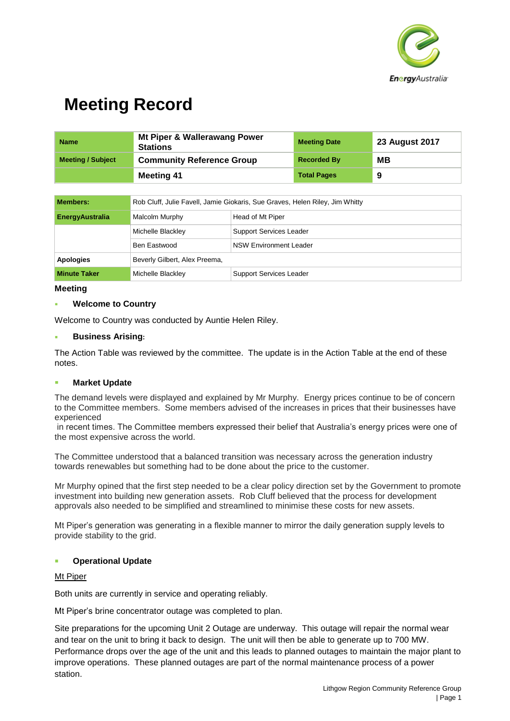

| <b>Name</b>              | Mt Piper & Wallerawang Power<br><b>Stations</b> | <b>Meeting Date</b> | <b>23 August 2017</b> |
|--------------------------|-------------------------------------------------|---------------------|-----------------------|
| <b>Meeting / Subject</b> | <b>Community Reference Group</b>                | <b>Recorded By</b>  | MВ                    |
|                          | <b>Meeting 41</b>                               | <b>Total Pages</b>  | 9                     |

| <b>Members:</b>        | Rob Cluff, Julie Favell, Jamie Giokaris, Sue Graves, Helen Riley, Jim Whitty |                                |  |
|------------------------|------------------------------------------------------------------------------|--------------------------------|--|
| <b>EnergyAustralia</b> | Malcolm Murphy                                                               | Head of Mt Piper               |  |
|                        | Michelle Blackley                                                            | <b>Support Services Leader</b> |  |
|                        | Ben Eastwood                                                                 | <b>NSW Environment Leader</b>  |  |
| <b>Apologies</b>       | Beverly Gilbert, Alex Preema,                                                |                                |  |
| <b>Minute Taker</b>    | Michelle Blackley                                                            | <b>Support Services Leader</b> |  |

#### **Meeting**

## ▪ **Welcome to Country**

Welcome to Country was conducted by Auntie Helen Riley.

## **Business Arising:**

The Action Table was reviewed by the committee. The update is in the Action Table at the end of these notes.

## ▪ **Market Update**

The demand levels were displayed and explained by Mr Murphy. Energy prices continue to be of concern to the Committee members. Some members advised of the increases in prices that their businesses have experienced

in recent times. The Committee members expressed their belief that Australia's energy prices were one of the most expensive across the world.

The Committee understood that a balanced transition was necessary across the generation industry towards renewables but something had to be done about the price to the customer.

Mr Murphy opined that the first step needed to be a clear policy direction set by the Government to promote investment into building new generation assets. Rob Cluff believed that the process for development approvals also needed to be simplified and streamlined to minimise these costs for new assets.

Mt Piper's generation was generating in a flexible manner to mirror the daily generation supply levels to provide stability to the grid.

## **Operational Update**

#### Mt Piper

Both units are currently in service and operating reliably.

Mt Piper's brine concentrator outage was completed to plan.

Site preparations for the upcoming Unit 2 Outage are underway. This outage will repair the normal wear and tear on the unit to bring it back to design. The unit will then be able to generate up to 700 MW. Performance drops over the age of the unit and this leads to planned outages to maintain the major plant to improve operations. These planned outages are part of the normal maintenance process of a power station.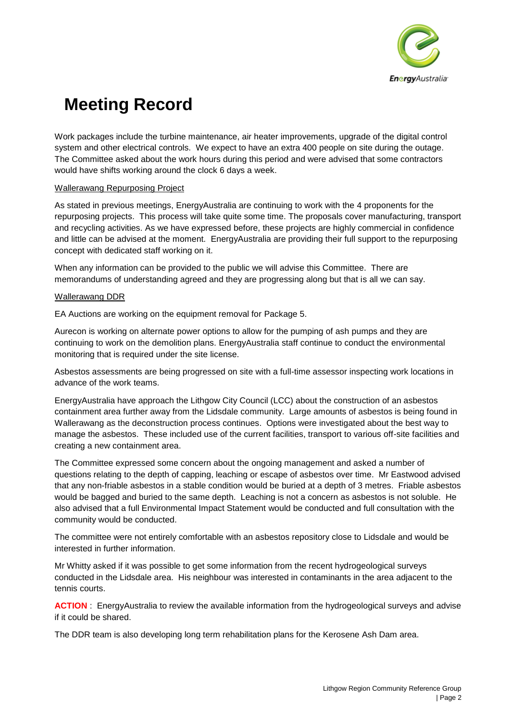

Work packages include the turbine maintenance, air heater improvements, upgrade of the digital control system and other electrical controls. We expect to have an extra 400 people on site during the outage. The Committee asked about the work hours during this period and were advised that some contractors would have shifts working around the clock 6 days a week.

## Wallerawang Repurposing Project

As stated in previous meetings, EnergyAustralia are continuing to work with the 4 proponents for the repurposing projects. This process will take quite some time. The proposals cover manufacturing, transport and recycling activities. As we have expressed before, these projects are highly commercial in confidence and little can be advised at the moment. EnergyAustralia are providing their full support to the repurposing concept with dedicated staff working on it.

When any information can be provided to the public we will advise this Committee. There are memorandums of understanding agreed and they are progressing along but that is all we can say.

## Wallerawang DDR

EA Auctions are working on the equipment removal for Package 5.

Aurecon is working on alternate power options to allow for the pumping of ash pumps and they are continuing to work on the demolition plans. EnergyAustralia staff continue to conduct the environmental monitoring that is required under the site license.

Asbestos assessments are being progressed on site with a full-time assessor inspecting work locations in advance of the work teams.

EnergyAustralia have approach the Lithgow City Council (LCC) about the construction of an asbestos containment area further away from the Lidsdale community. Large amounts of asbestos is being found in Wallerawang as the deconstruction process continues. Options were investigated about the best way to manage the asbestos. These included use of the current facilities, transport to various off-site facilities and creating a new containment area.

The Committee expressed some concern about the ongoing management and asked a number of questions relating to the depth of capping, leaching or escape of asbestos over time. Mr Eastwood advised that any non-friable asbestos in a stable condition would be buried at a depth of 3 metres. Friable asbestos would be bagged and buried to the same depth. Leaching is not a concern as asbestos is not soluble. He also advised that a full Environmental Impact Statement would be conducted and full consultation with the community would be conducted.

The committee were not entirely comfortable with an asbestos repository close to Lidsdale and would be interested in further information.

Mr Whitty asked if it was possible to get some information from the recent hydrogeological surveys conducted in the Lidsdale area. His neighbour was interested in contaminants in the area adjacent to the tennis courts.

**ACTION** : EnergyAustralia to review the available information from the hydrogeological surveys and advise if it could be shared.

The DDR team is also developing long term rehabilitation plans for the Kerosene Ash Dam area.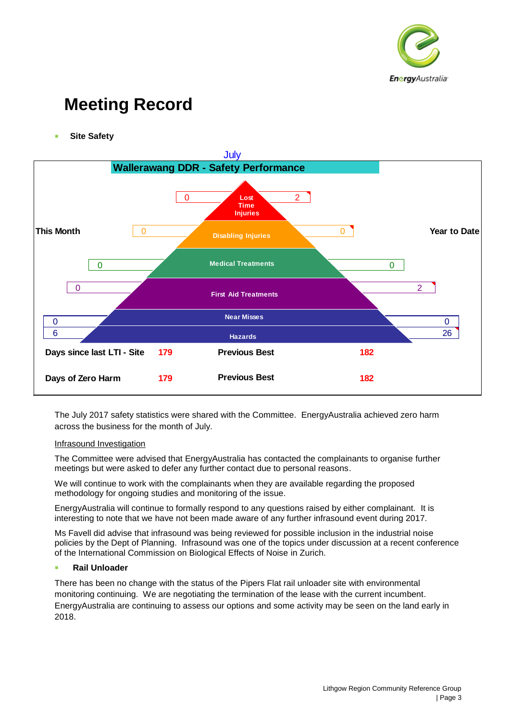

**Site Safety** 



The July 2017 safety statistics were shared with the Committee. EnergyAustralia achieved zero harm across the business for the month of July.

#### Infrasound Investigation

The Committee were advised that EnergyAustralia has contacted the complainants to organise further meetings but were asked to defer any further contact due to personal reasons.

We will continue to work with the complainants when they are available regarding the proposed methodology for ongoing studies and monitoring of the issue.

EnergyAustralia will continue to formally respond to any questions raised by either complainant. It is interesting to note that we have not been made aware of any further infrasound event during 2017.

Ms Favell did advise that infrasound was being reviewed for possible inclusion in the industrial noise policies by the Dept of Planning. Infrasound was one of the topics under discussion at a recent conference of the International Commission on Biological Effects of Noise in Zurich.

## **Rail Unloader**

There has been no change with the status of the Pipers Flat rail unloader site with environmental monitoring continuing. We are negotiating the termination of the lease with the current incumbent. EnergyAustralia are continuing to assess our options and some activity may be seen on the land early in 2018.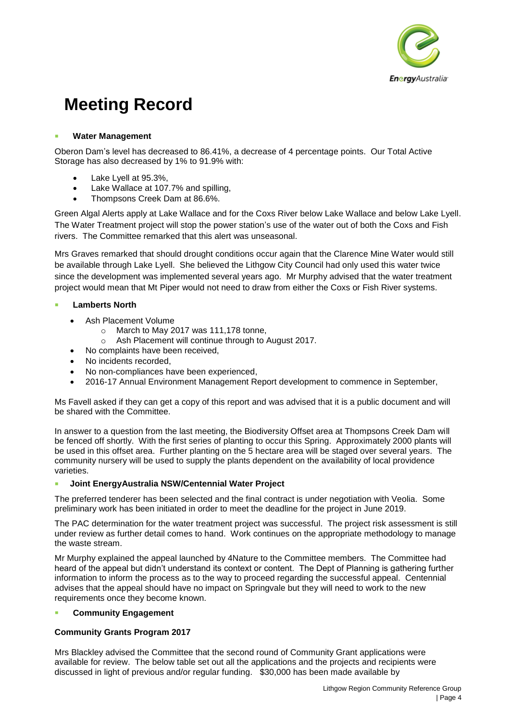

## **Water Management**

Oberon Dam's level has decreased to 86.41%, a decrease of 4 percentage points. Our Total Active Storage has also decreased by 1% to 91.9% with:

- Lake Lyell at 95.3%,
- Lake Wallace at 107.7% and spilling,
- Thompsons Creek Dam at 86.6%.

Green Algal Alerts apply at Lake Wallace and for the Coxs River below Lake Wallace and below Lake Lyell. The Water Treatment project will stop the power station's use of the water out of both the Coxs and Fish rivers. The Committee remarked that this alert was unseasonal.

Mrs Graves remarked that should drought conditions occur again that the Clarence Mine Water would still be available through Lake Lyell. She believed the Lithgow City Council had only used this water twice since the development was implemented several years ago. Mr Murphy advised that the water treatment project would mean that Mt Piper would not need to draw from either the Coxs or Fish River systems.

## **Lamberts North**

- Ash Placement Volume
	- o March to May 2017 was 111,178 tonne,
	- o Ash Placement will continue through to August 2017.
- No complaints have been received,
- No incidents recorded.
- No non-compliances have been experienced.
- 2016-17 Annual Environment Management Report development to commence in September,

Ms Favell asked if they can get a copy of this report and was advised that it is a public document and will be shared with the Committee.

In answer to a question from the last meeting, the Biodiversity Offset area at Thompsons Creek Dam will be fenced off shortly. With the first series of planting to occur this Spring. Approximately 2000 plants will be used in this offset area. Further planting on the 5 hectare area will be staged over several years. The community nursery will be used to supply the plants dependent on the availability of local providence varieties.

## ▪ **Joint EnergyAustralia NSW/Centennial Water Project**

The preferred tenderer has been selected and the final contract is under negotiation with Veolia. Some preliminary work has been initiated in order to meet the deadline for the project in June 2019.

The PAC determination for the water treatment project was successful. The project risk assessment is still under review as further detail comes to hand. Work continues on the appropriate methodology to manage the waste stream.

Mr Murphy explained the appeal launched by 4Nature to the Committee members. The Committee had heard of the appeal but didn't understand its context or content. The Dept of Planning is gathering further information to inform the process as to the way to proceed regarding the successful appeal. Centennial advises that the appeal should have no impact on Springvale but they will need to work to the new requirements once they become known.

## **Community Engagement**

## **Community Grants Program 2017**

Mrs Blackley advised the Committee that the second round of Community Grant applications were available for review. The below table set out all the applications and the projects and recipients were discussed in light of previous and/or regular funding. \$30,000 has been made available by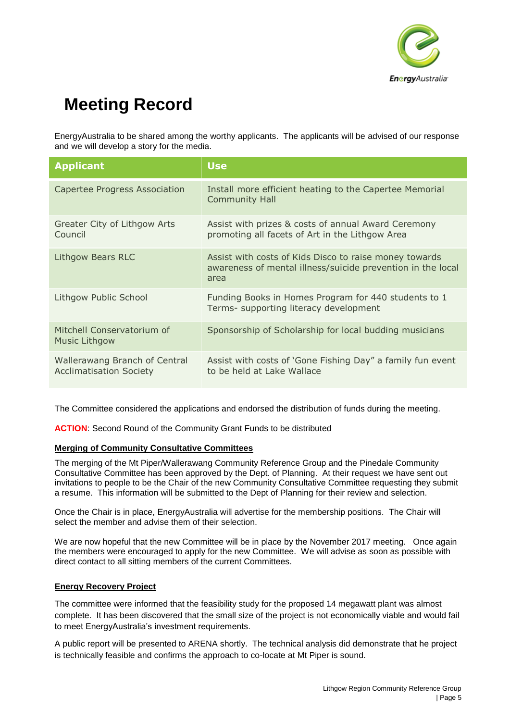

EnergyAustralia to be shared among the worthy applicants. The applicants will be advised of our response and we will develop a story for the media.

| <b>Applicant</b>                                                | <b>Use</b>                                                                                                                    |  |
|-----------------------------------------------------------------|-------------------------------------------------------------------------------------------------------------------------------|--|
| Capertee Progress Association                                   | Install more efficient heating to the Capertee Memorial<br><b>Community Hall</b>                                              |  |
| Greater City of Lithgow Arts<br>Council                         | Assist with prizes & costs of annual Award Ceremony<br>promoting all facets of Art in the Lithgow Area                        |  |
| Lithgow Bears RLC                                               | Assist with costs of Kids Disco to raise money towards<br>awareness of mental illness/suicide prevention in the local<br>area |  |
| Lithgow Public School                                           | Funding Books in Homes Program for 440 students to 1<br>Terms- supporting literacy development                                |  |
| Mitchell Conservatorium of<br><b>Music Lithgow</b>              | Sponsorship of Scholarship for local budding musicians                                                                        |  |
| Wallerawang Branch of Central<br><b>Acclimatisation Society</b> | Assist with costs of 'Gone Fishing Day" a family fun event<br>to be held at Lake Wallace                                      |  |

The Committee considered the applications and endorsed the distribution of funds during the meeting.

**ACTION**: Second Round of the Community Grant Funds to be distributed

## **Merging of Community Consultative Committees**

The merging of the Mt Piper/Wallerawang Community Reference Group and the Pinedale Community Consultative Committee has been approved by the Dept. of Planning. At their request we have sent out invitations to people to be the Chair of the new Community Consultative Committee requesting they submit a resume. This information will be submitted to the Dept of Planning for their review and selection.

Once the Chair is in place, EnergyAustralia will advertise for the membership positions. The Chair will select the member and advise them of their selection.

We are now hopeful that the new Committee will be in place by the November 2017 meeting. Once again the members were encouraged to apply for the new Committee. We will advise as soon as possible with direct contact to all sitting members of the current Committees.

## **Energy Recovery Project**

The committee were informed that the feasibility study for the proposed 14 megawatt plant was almost complete. It has been discovered that the small size of the project is not economically viable and would fail to meet EnergyAustralia's investment requirements.

A public report will be presented to ARENA shortly. The technical analysis did demonstrate that he project is technically feasible and confirms the approach to co-locate at Mt Piper is sound.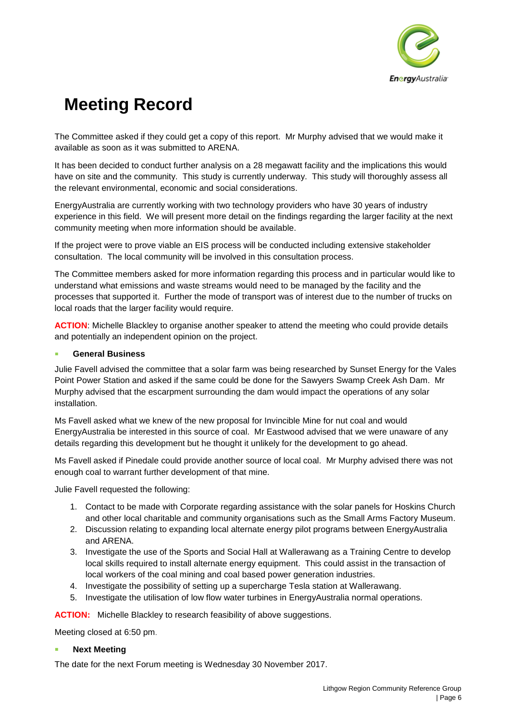

The Committee asked if they could get a copy of this report. Mr Murphy advised that we would make it available as soon as it was submitted to ARENA.

It has been decided to conduct further analysis on a 28 megawatt facility and the implications this would have on site and the community. This study is currently underway. This study will thoroughly assess all the relevant environmental, economic and social considerations.

EnergyAustralia are currently working with two technology providers who have 30 years of industry experience in this field. We will present more detail on the findings regarding the larger facility at the next community meeting when more information should be available.

If the project were to prove viable an EIS process will be conducted including extensive stakeholder consultation. The local community will be involved in this consultation process.

The Committee members asked for more information regarding this process and in particular would like to understand what emissions and waste streams would need to be managed by the facility and the processes that supported it. Further the mode of transport was of interest due to the number of trucks on local roads that the larger facility would require.

**ACTION**: Michelle Blackley to organise another speaker to attend the meeting who could provide details and potentially an independent opinion on the project.

## **General Business**

Julie Favell advised the committee that a solar farm was being researched by Sunset Energy for the Vales Point Power Station and asked if the same could be done for the Sawyers Swamp Creek Ash Dam. Mr Murphy advised that the escarpment surrounding the dam would impact the operations of any solar installation.

Ms Favell asked what we knew of the new proposal for Invincible Mine for nut coal and would EnergyAustralia be interested in this source of coal. Mr Eastwood advised that we were unaware of any details regarding this development but he thought it unlikely for the development to go ahead.

Ms Favell asked if Pinedale could provide another source of local coal. Mr Murphy advised there was not enough coal to warrant further development of that mine.

Julie Favell requested the following:

- 1. Contact to be made with Corporate regarding assistance with the solar panels for Hoskins Church and other local charitable and community organisations such as the Small Arms Factory Museum.
- 2. Discussion relating to expanding local alternate energy pilot programs between EnergyAustralia and ARENA.
- 3. Investigate the use of the Sports and Social Hall at Wallerawang as a Training Centre to develop local skills required to install alternate energy equipment. This could assist in the transaction of local workers of the coal mining and coal based power generation industries.
- 4. Investigate the possibility of setting up a supercharge Tesla station at Wallerawang.
- 5. Investigate the utilisation of low flow water turbines in EnergyAustralia normal operations.

## **ACTION:** Michelle Blackley to research feasibility of above suggestions.

Meeting closed at 6:50 pm.

## **Next Meeting**

The date for the next Forum meeting is Wednesday 30 November 2017.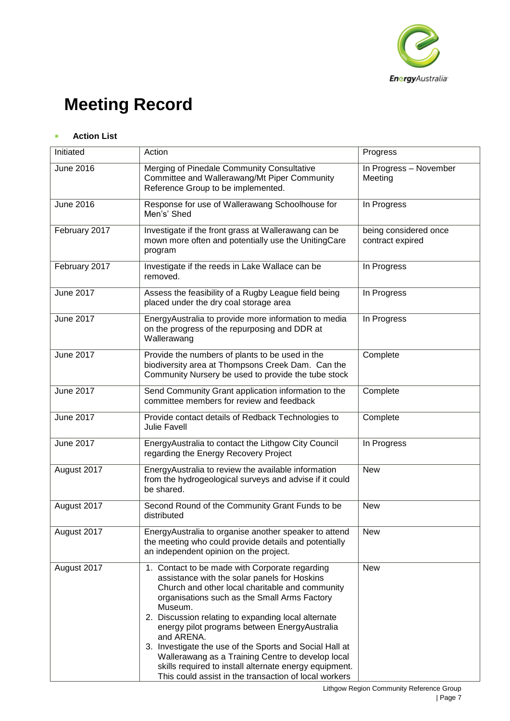

## ■ **Action List**

| Initiated        | Action                                                                                                                                                                                                                                                                                                                                                                                                                                                                                                                                                                | Progress                                  |
|------------------|-----------------------------------------------------------------------------------------------------------------------------------------------------------------------------------------------------------------------------------------------------------------------------------------------------------------------------------------------------------------------------------------------------------------------------------------------------------------------------------------------------------------------------------------------------------------------|-------------------------------------------|
| <b>June 2016</b> | Merging of Pinedale Community Consultative<br>Committee and Wallerawang/Mt Piper Community<br>Reference Group to be implemented.                                                                                                                                                                                                                                                                                                                                                                                                                                      | In Progress - November<br>Meeting         |
| <b>June 2016</b> | Response for use of Wallerawang Schoolhouse for<br>Men's' Shed                                                                                                                                                                                                                                                                                                                                                                                                                                                                                                        | In Progress                               |
| February 2017    | Investigate if the front grass at Wallerawang can be<br>mown more often and potentially use the UnitingCare<br>program                                                                                                                                                                                                                                                                                                                                                                                                                                                | being considered once<br>contract expired |
| February 2017    | Investigate if the reeds in Lake Wallace can be<br>removed.                                                                                                                                                                                                                                                                                                                                                                                                                                                                                                           | In Progress                               |
| <b>June 2017</b> | Assess the feasibility of a Rugby League field being<br>placed under the dry coal storage area                                                                                                                                                                                                                                                                                                                                                                                                                                                                        | In Progress                               |
| <b>June 2017</b> | EnergyAustralia to provide more information to media<br>on the progress of the repurposing and DDR at<br>Wallerawang                                                                                                                                                                                                                                                                                                                                                                                                                                                  | In Progress                               |
| <b>June 2017</b> | Provide the numbers of plants to be used in the<br>biodiversity area at Thompsons Creek Dam. Can the<br>Community Nursery be used to provide the tube stock                                                                                                                                                                                                                                                                                                                                                                                                           | Complete                                  |
| <b>June 2017</b> | Send Community Grant application information to the<br>committee members for review and feedback                                                                                                                                                                                                                                                                                                                                                                                                                                                                      | Complete                                  |
| <b>June 2017</b> | Provide contact details of Redback Technologies to<br><b>Julie Favell</b>                                                                                                                                                                                                                                                                                                                                                                                                                                                                                             | Complete                                  |
| <b>June 2017</b> | EnergyAustralia to contact the Lithgow City Council<br>regarding the Energy Recovery Project                                                                                                                                                                                                                                                                                                                                                                                                                                                                          | In Progress                               |
| August 2017      | EnergyAustralia to review the available information<br>from the hydrogeological surveys and advise if it could<br>be shared.                                                                                                                                                                                                                                                                                                                                                                                                                                          | <b>New</b>                                |
| August 2017      | Second Round of the Community Grant Funds to be<br>distributed                                                                                                                                                                                                                                                                                                                                                                                                                                                                                                        | <b>New</b>                                |
| August 2017      | EnergyAustralia to organise another speaker to attend<br>the meeting who could provide details and potentially<br>an independent opinion on the project.                                                                                                                                                                                                                                                                                                                                                                                                              | New                                       |
| August 2017      | 1. Contact to be made with Corporate regarding<br>assistance with the solar panels for Hoskins<br>Church and other local charitable and community<br>organisations such as the Small Arms Factory<br>Museum.<br>2. Discussion relating to expanding local alternate<br>energy pilot programs between EnergyAustralia<br>and ARENA.<br>3. Investigate the use of the Sports and Social Hall at<br>Wallerawang as a Training Centre to develop local<br>skills required to install alternate energy equipment.<br>This could assist in the transaction of local workers | New                                       |